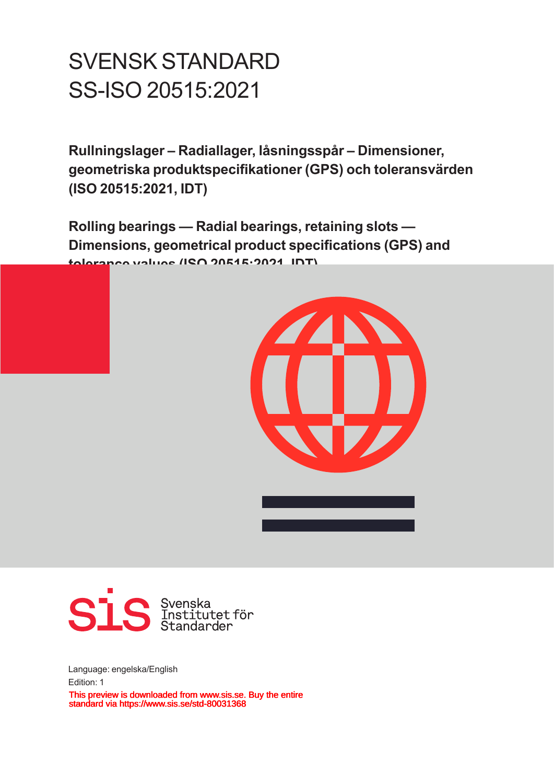# SVENSK STANDARD SS-ISO 20515:2021

**Rullningslager – Radiallager, låsningsspår – Dimensioner, geometriska produktspecifikationer (GPS) och toleransvärden (ISO 20515:2021, IDT)**

**Rolling bearings — Radial bearings, retaining slots — Dimensions, geometrical product specifications (GPS) and tolerance values (ISO 20515:2021, IDT)**





Language: engelska/English Edition: 1 This preview is downloaded from www.sis.se. Buy the entire standard via https://www.sis.se/std-80031368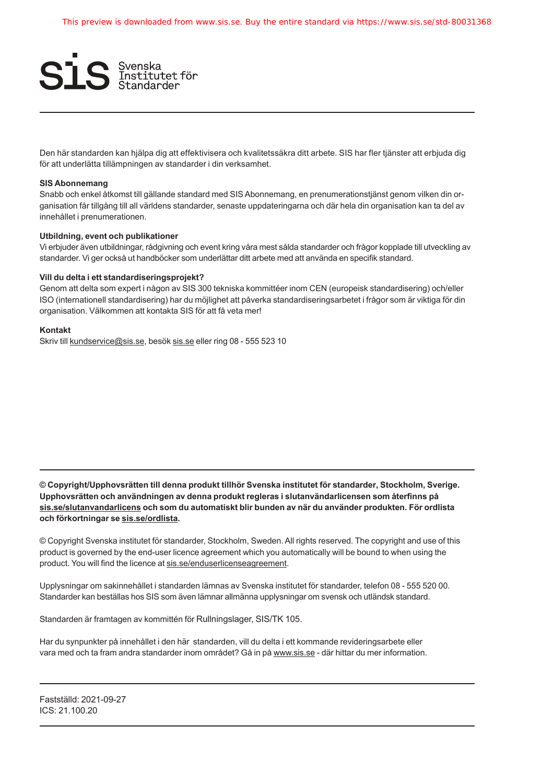

Den här standarden kan hjälpa dig att effektivisera och kvalitetssäkra ditt arbete. SIS har fler tjänster att erbjuda dig för att underlätta tillämpningen av standarder i din verksamhet.

#### **SIS Abonnemang**

Snabb och enkel åtkomst till gällande standard med SIS Abonnemang, en prenumerationstjänst genom vilken din organisation får tillgång till all världens standarder, senaste uppdateringarna och där hela din organisation kan ta del av innehållet i prenumerationen.

#### **Utbildning, event och publikationer**

Vi erbjuder även utbildningar, rådgivning och event kring våra mest sålda standarder och frågor kopplade till utveckling av standarder. Vi ger också ut handböcker som underlättar ditt arbete med att använda en specifik standard.

#### **Vill du delta i ett standardiseringsprojekt?**

Genom att delta som expert i någon av SIS 300 tekniska kommittéer inom CEN (europeisk standardisering) och/eller ISO (internationell standardisering) har du möjlighet att påverka standardiseringsarbetet i frågor som är viktiga för din organisation. Välkommen att kontakta SIS för att få veta mer!

#### **Kontakt**

Skriv till kundservice@sis.se, besök sis.se eller ring 08 - 555 523 10

**© Copyright/Upphovsrätten till denna produkt tillhör Svenska institutet för standarder, Stockholm, Sverige. Upphovsrätten och användningen av denna produkt regleras i slutanvändarlicensen som återfinns på sis.se/slutanvandarlicens och som du automatiskt blir bunden av när du använder produkten. För ordlista och förkortningar se sis.se/ordlista.**

© Copyright Svenska institutet för standarder, Stockholm, Sweden. All rights reserved. The copyright and use of this product is governed by the end-user licence agreement which you automatically will be bound to when using the product. You will find the licence at sis.se/enduserlicenseagreement.

Upplysningar om sakinnehållet i standarden lämnas av Svenska institutet för standarder, telefon 08 - 555 520 00. Standarder kan beställas hos SIS som även lämnar allmänna upplysningar om svensk och utländsk standard.

Standarden är framtagen av kommittén för Rullningslager, SIS/TK 105.

Har du synpunkter på innehållet i den här standarden, vill du delta i ett kommande revideringsarbete eller vara med och ta fram andra standarder inom området? Gå in på www.sis.se - där hittar du mer information.

Fastställd: 2021-09-27 ICS: 21.100.20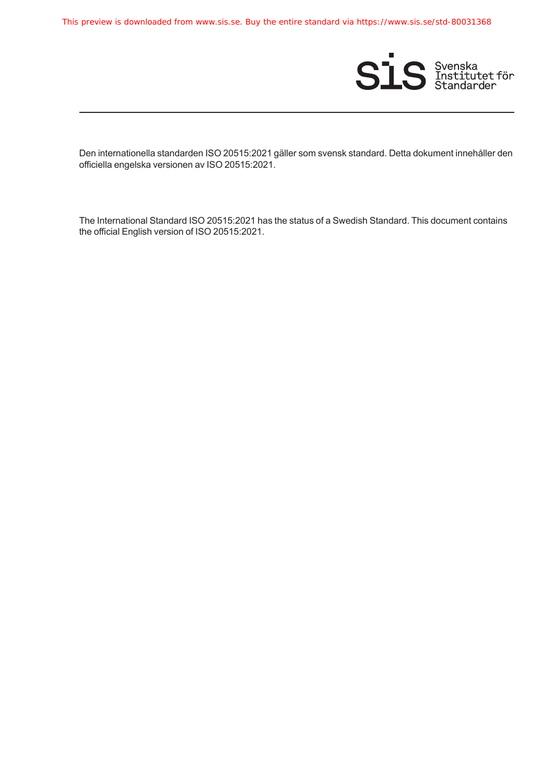This preview is downloaded from www.sis.se. Buy the entire standard via https://www.sis.se/std-80031368



Den internationella standarden ISO 20515:2021 gäller som svensk standard. Detta dokument innehåller den officiella engelska versionen av ISO 20515:2021.

The International Standard ISO 20515:2021 has the status of a Swedish Standard. This document contains the official English version of ISO 20515:2021.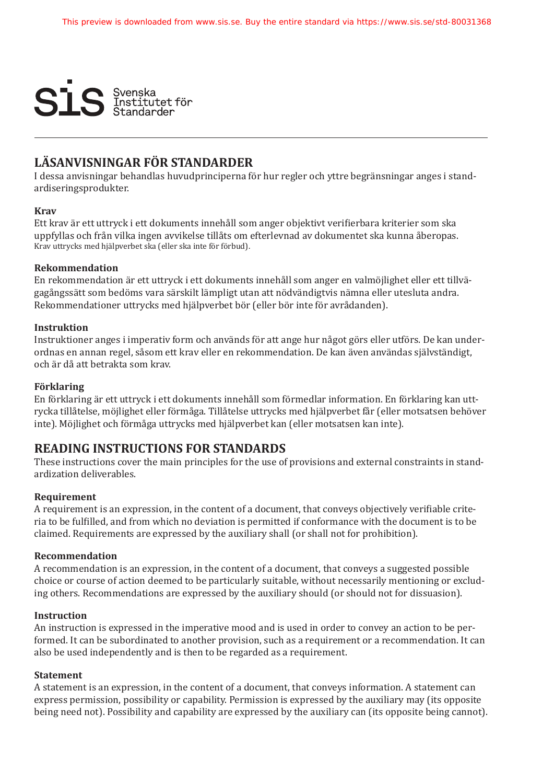

## **LÄSANVISNINGAR FÖR STANDARDER**

I dessa anvisningar behandlas huvudprinciperna för hur regler och yttre begränsningar anges i standardiseringsprodukter.

#### **Krav**

Ett krav är ett uttryck i ett dokuments innehåll som anger objektivt verifierbara kriterier som ska uppfyllas och från vilka ingen avvikelse tillåts om efterlevnad av dokumentet ska kunna åberopas. Krav uttrycks med hjälpverbet ska (eller ska inte för förbud).

#### **Rekommendation**

En rekommendation är ett uttryck i ett dokuments innehåll som anger en valmöjlighet eller ett tillvägagångssätt som bedöms vara särskilt lämpligt utan att nödvändigtvis nämna eller utesluta andra. Rekommendationer uttrycks med hjälpverbet bör (eller bör inte för avrådanden).

#### **Instruktion**

Instruktioner anges i imperativ form och används för att ange hur något görs eller utförs. De kan underordnas en annan regel, såsom ett krav eller en rekommendation. De kan även användas självständigt, och är då att betrakta som krav.

#### **Förklaring**

En förklaring är ett uttryck i ett dokuments innehåll som förmedlar information. En förklaring kan uttrycka tillåtelse, möjlighet eller förmåga. Tillåtelse uttrycks med hjälpverbet får (eller motsatsen behöver inte). Möjlighet och förmåga uttrycks med hjälpverbet kan (eller motsatsen kan inte).

## **READING INSTRUCTIONS FOR STANDARDS**

These instructions cover the main principles for the use of provisions and external constraints in standardization deliverables.

#### **Requirement**

A requirement is an expression, in the content of a document, that conveys objectively verifiable criteria to be fulfilled, and from which no deviation is permitted if conformance with the document is to be claimed. Requirements are expressed by the auxiliary shall (or shall not for prohibition).

#### **Recommendation**

A recommendation is an expression, in the content of a document, that conveys a suggested possible choice or course of action deemed to be particularly suitable, without necessarily mentioning or excluding others. Recommendations are expressed by the auxiliary should (or should not for dissuasion).

#### **Instruction**

An instruction is expressed in the imperative mood and is used in order to convey an action to be performed. It can be subordinated to another provision, such as a requirement or a recommendation. It can also be used independently and is then to be regarded as a requirement.

#### **Statement**

A statement is an expression, in the content of a document, that conveys information. A statement can express permission, possibility or capability. Permission is expressed by the auxiliary may (its opposite being need not). Possibility and capability are expressed by the auxiliary can (its opposite being cannot).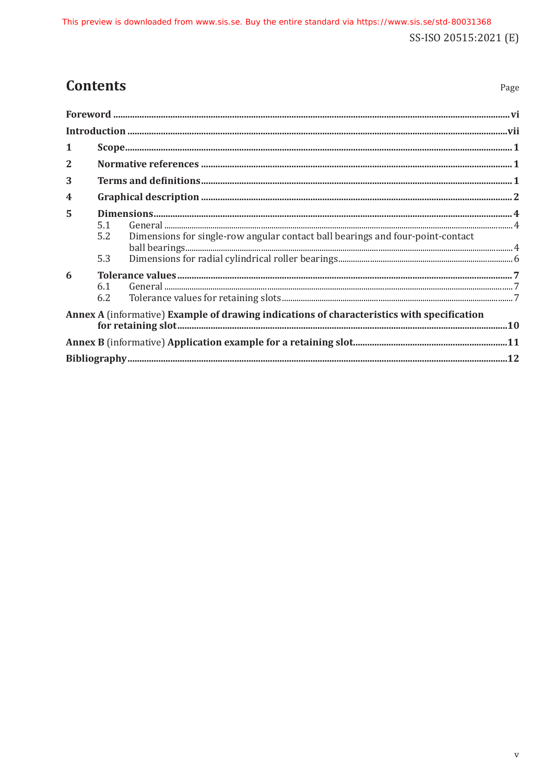## **Contents**

| 1              |            |                                                                                                                                                                                                                                                                                |  |
|----------------|------------|--------------------------------------------------------------------------------------------------------------------------------------------------------------------------------------------------------------------------------------------------------------------------------|--|
| 2              |            |                                                                                                                                                                                                                                                                                |  |
| 3              |            |                                                                                                                                                                                                                                                                                |  |
| 4              |            |                                                                                                                                                                                                                                                                                |  |
| $\overline{5}$ | 5.2<br>5.3 | Dimensions for single-row angular contact ball bearings and four-point-contact                                                                                                                                                                                                 |  |
| 6              |            | $\begin{tabular}{ll} 6.1 & General  \textcolor{red}{m} & \textcolor{red}{General} & \textcolor{red}{m} & \textcolor{red}{7} \\ 6.2 & Tolerance values for retaining slots  \textcolor{red}{m} & \textcolor{red}{3} & \textcolor{red}{5} & \textcolor{red}{7} \\ \end{tabular}$ |  |
|                |            | Annex A (informative) Example of drawing indications of characteristics with specification                                                                                                                                                                                     |  |
|                |            |                                                                                                                                                                                                                                                                                |  |
|                |            |                                                                                                                                                                                                                                                                                |  |

Page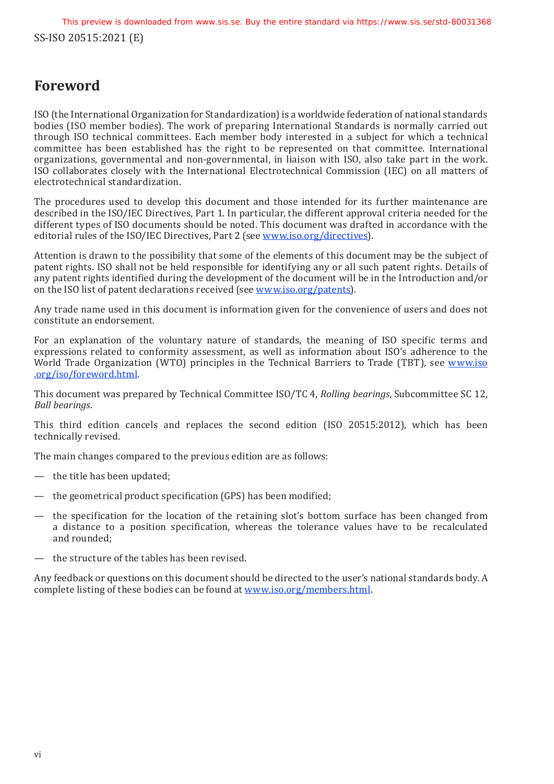## <span id="page-5-0"></span>**Foreword**

ISO (the International Organization for Standardization) is a worldwide federation of national standards bodies (ISO member bodies). The work of preparing International Standards is normally carried out through ISO technical committees. Each member body interested in a subject for which a technical committee has been established has the right to be represented on that committee. International organizations, governmental and non-governmental, in liaison with ISO, also take part in the work. ISO collaborates closely with the International Electrotechnical Commission (IEC) on all matters of electrotechnical standardization.

The procedures used to develop this document and those intended for its further maintenance are described in the ISO/IEC Directives, Part 1. In particular, the different approval criteria needed for the different types of ISO documents should be noted. This document was drafted in accordance with the editorial rules of the ISO/IEC Directives, Part 2 (see [www.iso.org/directives\)](https://www.iso.org/directives-and-policies.html).

Attention is drawn to the possibility that some of the elements of this document may be the subject of patent rights. ISO shall not be held responsible for identifying any or all such patent rights. Details of any patent rights identified during the development of the document will be in the Introduction and/or on the ISO list of patent declarations received (see [www.iso.org/patents](https://www.iso.org/iso-standards-and-patents.html)).

Any trade name used in this document is information given for the convenience of users and does not constitute an endorsement.

For an explanation of the voluntary nature of standards, the meaning of ISO specific terms and expressions related to conformity assessment, as well as information about ISO's adherence to the World Trade Organization (WTO) principles in the Technical Barriers to Trade (TBT), see [www.iso](https://www.iso.org/foreword-supplementary-information.html) [.org/iso/foreword.html](https://www.iso.org/foreword-supplementary-information.html).

This document was prepared by Technical Committee ISO/TC 4, *Rolling bearings*, Subcommittee SC 12, *Ball bearings*.

This third edition cancels and replaces the second edition (ISO 20515:2012), which has been technically revised.

The main changes compared to the previous edition are as follows:

- the title has been updated;
- the geometrical product specification (GPS) has been modified;
- the specification for the location of the retaining slot's bottom surface has been changed from a distance to a position specification, whereas the tolerance values have to be recalculated and rounded;
- the structure of the tables has been revised.

Any feedback or questions on this document should be directed to the user's national standards body. A complete listing of these bodies can be found at [www.iso.org/members.html.](https://www.iso.org/members.html)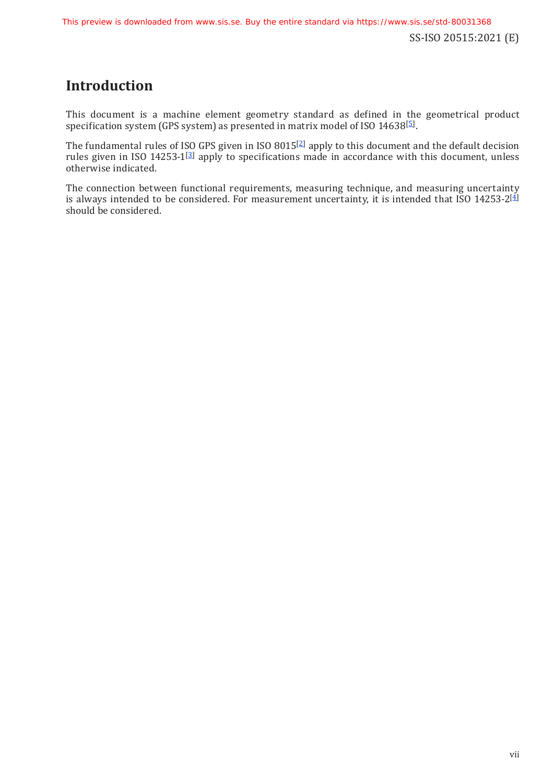## <span id="page-6-0"></span>**Introduction**

This document is a machine element geometry standard as defined in the geometrical product specification system (GPS system) as presented in matrix model of ISO 14638<mark>[5</mark>].

The fundamental rules of ISO GPS given in ISO 8015<sup>[2]</sup> apply to this document and the default decision rules given in ISO 14253-1<sup>[2]</sup> apply to specifications made in accordance with this document, unless otherwise indicated.

The connection between functional requirements, measuring technique, and measuring uncertainty is always intended to be considered. For measurement uncertainty, it is intended that ISO 14253-2<sup>[4]</sup> should be considered.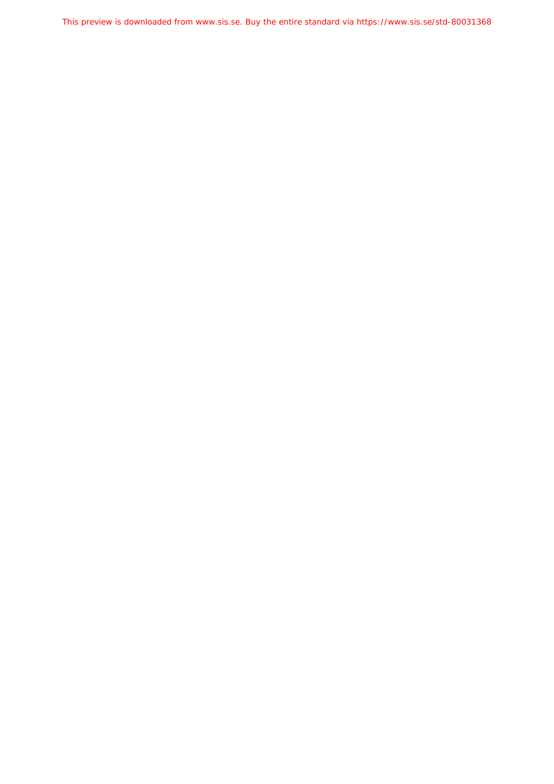This preview is downloaded from www.sis.se. Buy the entire standard via https://www.sis.se/std-80031368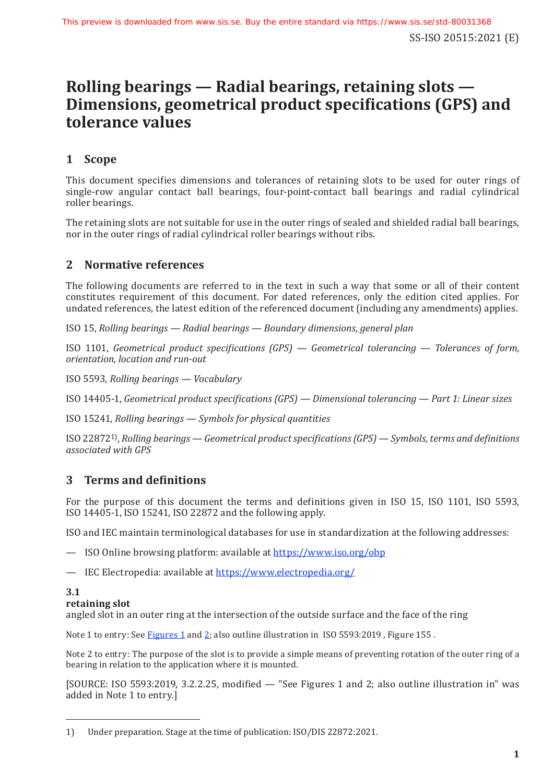## **Rolling bearings — Radial bearings, retaining slots — Dimensions, geometrical product specifications (GPS) and tolerance values**

## <span id="page-8-0"></span>**1 Scope**

This document specifies dimensions and tolerances of retaining slots to be used for outer rings of single-row angular contact ball bearings, four-point-contact ball bearings and radial cylindrical roller bearings.

The retaining slots are not suitable for use in the outer rings of sealed and shielded radial ball bearings, nor in the outer rings of radial cylindrical roller bearings without ribs.

## <span id="page-8-1"></span>**2 Normative references**

The following documents are referred to in the text in such a way that some or all of their content constitutes requirement of this document. For dated references, only the edition cited applies. For undated references, the latest edition of the referenced document (including any amendments) applies.

ISO 15, *Rolling bearings — Radial bearings — Boundary dimensions, general plan*

ISO 1101, *Geometrical product specifications (GPS) — Geometrical tolerancing — Tolerances of form, orientation, location and run-out*

ISO 5593, *Rolling bearings — Vocabulary*

ISO 14405-1, *Geometrical product specifications (GPS) — Dimensional tolerancing — Part 1: Linear sizes*

ISO 15241, *Rolling bearings — Symbols for physical quantities*

ISO 228721), *Rolling bearings — Geometrical product specifications (GPS) — Symbols, terms and definitions associated with GPS*

## <span id="page-8-2"></span>**3 Terms and definitions**

For the purpose of this document the terms and definitions given in ISO 15, ISO 1101, ISO 5593, ISO 14405-1, ISO 15241, ISO 22872 and the following apply.

ISO and IEC maintain terminological databases for use in standardization at the following addresses:

- ISO Online browsing platform: available at <https://www.iso.org/obp>
- IEC Electropedia: available at<https://www.electropedia.org/>

#### **3.1**

**retaining slot**

angled slot in an outer ring at the intersection of the outside surface and the face of the ring

Note 1 to entry: See [Figures](#page-10-0) 1 and [2](#page-10-1); also outline illustration in ISO 5593:2019, Figure 155.

Note 2 to entry: The purpose of the slot is to provide a simple means of preventing rotation of the outer ring of a bearing in relation to the application where it is mounted.

[SOURCE: ISO 5593:2019, 3.2.2.25, modified — "See Figures 1 and 2; also outline illustration in" was added in Note 1 to entry.]

<sup>1)</sup> Under preparation. Stage at the time of publication: ISO/DIS 22872:2021.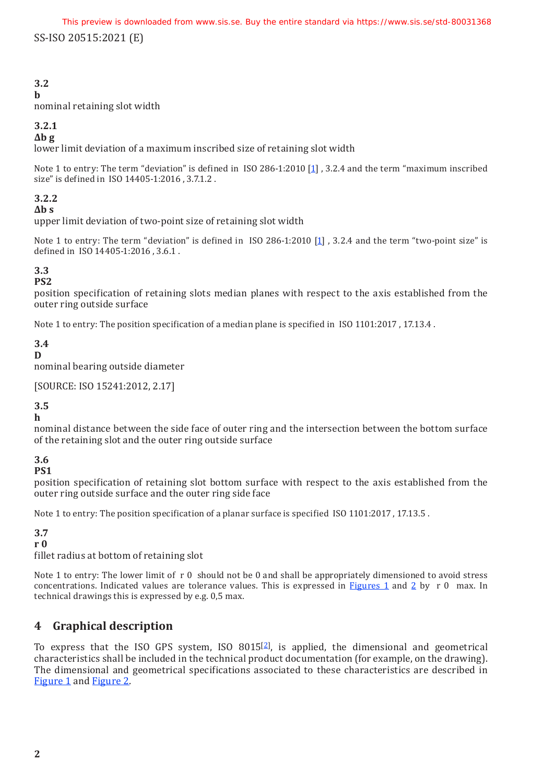## **3.2**

**b** nominal retaining slot width

## **3.2.1**

## **Δb g**

lower limit deviation of a maximum inscribed size of retaining slot width

Note 1 to entry: The term "deviation" is defined in ISO 286-1:2010 [1] , 3.2.4 and the term "maximum inscribed size" is defined in ISO 14405-1:2016 , 3.7.1.2 .

## **3.2.2**

#### **Δb s**

upper limit deviation of two-point size of retaining slot width

Note 1 to entry: The term "deviation" is defined in ISO 286-1:2010 [1] , 3.2.4 and the term "two-point size" is defined in ISO 14405-1:2016 , 3.6.1 .

## **3.3**

#### **PS2**

position specification of retaining slots median planes with respect to the axis established from the outer ring outside surface

Note 1 to entry: The position specification of a median plane is specified in ISO 1101:2017 , 17.13.4 .

## **3.4**

## **D**

nominal bearing outside diameter

### [SOURCE: ISO 15241:2012, 2.17]

## **3.5**

### **h**

nominal distance between the side face of outer ring and the intersection between the bottom surface of the retaining slot and the outer ring outside surface

**3.6**

## **PS1**

position specification of retaining slot bottom surface with respect to the axis established from the outer ring outside surface and the outer ring side face

Note 1 to entry: The position specification of a planar surface is specified ISO 1101:2017 , 17.13.5 .

## **3.7**

### **r 0**

fillet radius at bottom of retaining slot

Note 1 to entry: The lower limit of r 0 should not be 0 and shall be appropriately dimensioned to avoid stress concentrations. Indicated values are tolerance values. This is expressed in [Figures](#page-10-0) 1 and [2](#page-10-1) by r 0 max. In technical drawings this is expressed by e.g. 0,5 max.

## <span id="page-9-0"></span>**4 Graphical description**

To express that the ISO GPS system, ISO 8015 $[2]$ , is applied, the dimensional and geometrical characteristics shall be included in the technical product documentation (for example, on the drawing). The dimensional and geometrical specifications associated to these characteristics are described in [Figure](#page-10-0) 1 and [Figure](#page-10-1) 2.